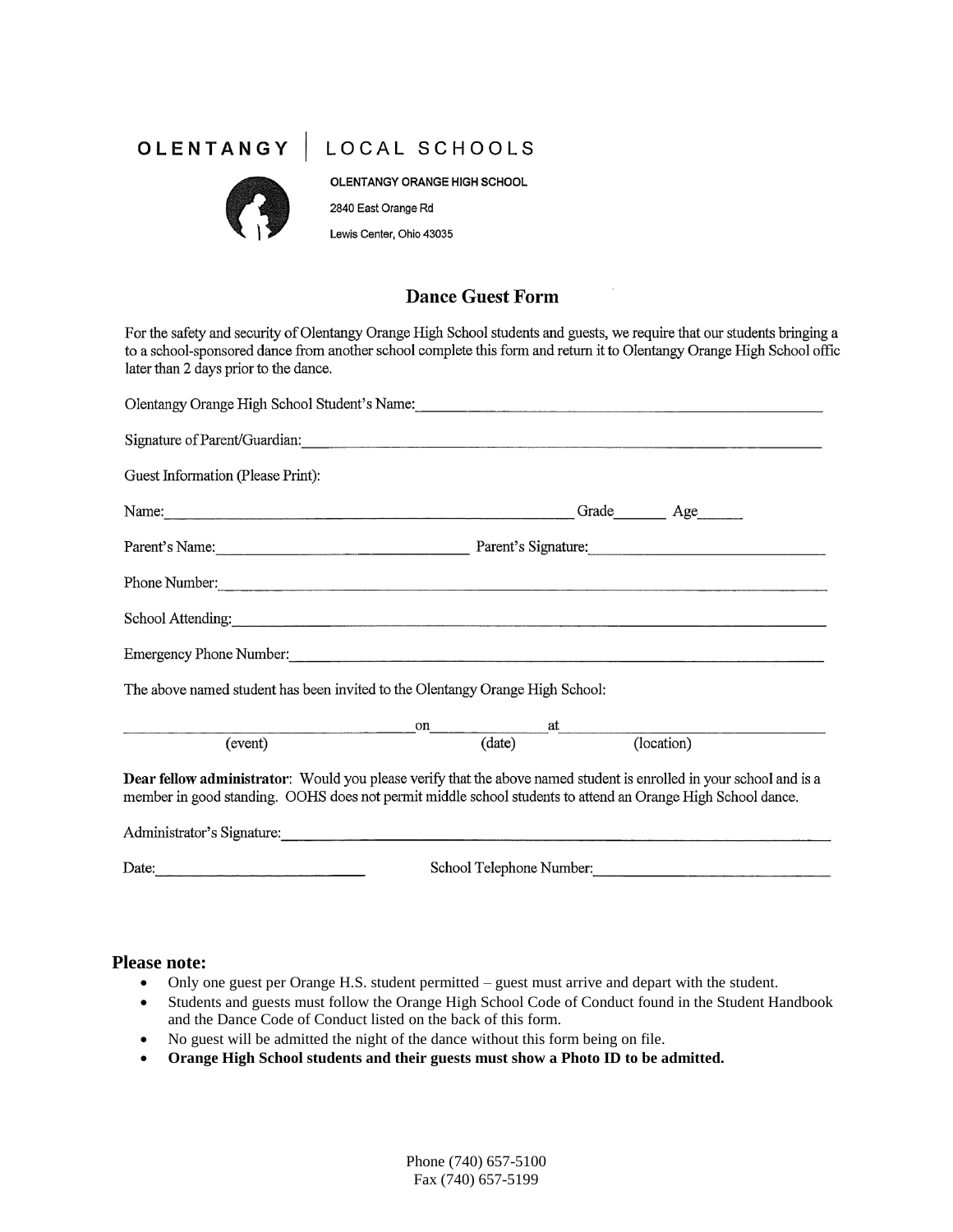## OLENTANGY | LOCAL SCHOOLS



OLENTANGY ORANGE HIGH SCHOOL 2840 East Orange Rd Lewis Center, Ohio 43035

### **Dance Guest Form**

For the safety and security of Olentangy Orange High School students and guests, we require that our students bringing a to a school-sponsored dance from another school complete this form and return it to Olentangy Orange High School offic later than 2 days prior to the dance.

| Olentangy Orange High School Student's Name: Name:                                                                                                                                                                                 |                                                        |  |                                            |
|------------------------------------------------------------------------------------------------------------------------------------------------------------------------------------------------------------------------------------|--------------------------------------------------------|--|--------------------------------------------|
|                                                                                                                                                                                                                                    |                                                        |  |                                            |
| Guest Information (Please Print):                                                                                                                                                                                                  |                                                        |  |                                            |
|                                                                                                                                                                                                                                    |                                                        |  | Grade <u>Coracte</u> Age <sub>Coract</sub> |
|                                                                                                                                                                                                                                    | Parent's Name: Parent's Signature: Parent's Signature: |  |                                            |
| Phone Number:<br><u> Example 2001</u>                                                                                                                                                                                              |                                                        |  |                                            |
| School Attending:                                                                                                                                                                                                                  |                                                        |  |                                            |
|                                                                                                                                                                                                                                    |                                                        |  |                                            |
| The above named student has been invited to the Olentangy Orange High School:                                                                                                                                                      |                                                        |  |                                            |
|                                                                                                                                                                                                                                    |                                                        |  |                                            |
| event) on at (event) (date) (location)                                                                                                                                                                                             |                                                        |  |                                            |
| Dear fellow administrator: Would you please verify that the above named student is enrolled in your school and is a<br>member in good standing. OOHS does not permit middle school students to attend an Orange High School dance. |                                                        |  |                                            |
| Administrator's Signature:                                                                                                                                                                                                         |                                                        |  |                                            |
| Date:                                                                                                                                                                                                                              | School Telephone Number:                               |  |                                            |

#### **Please note:**

- Only one guest per Orange H.S. student permitted guest must arrive and depart with the student.
- Students and guests must follow the Orange High School Code of Conduct found in the Student Handbook and the Dance Code of Conduct listed on the back of this form.
- No guest will be admitted the night of the dance without this form being on file.
- **Orange High School students and their guests must show a Photo ID to be admitted.**